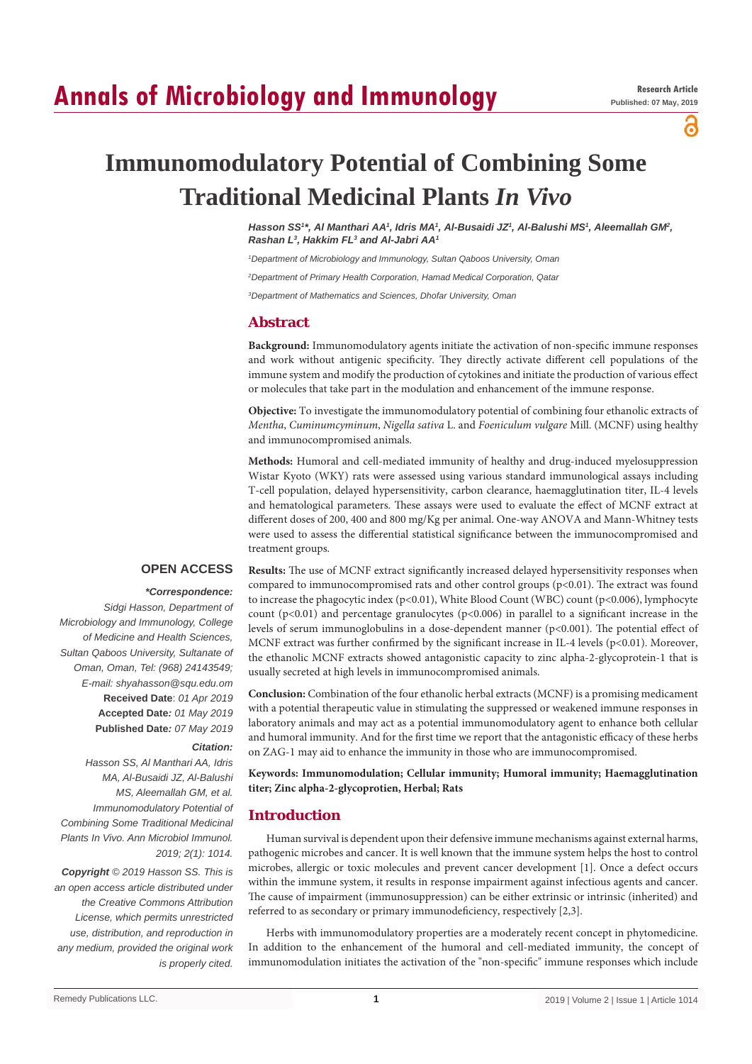# **Annals of Microbiology and Immunology**

а

# **Immunomodulatory Potential of Combining Some Traditional Medicinal Plants** *In Vivo*

*Hasson SS1 \*, Al Manthari AA1 , Idris MA1 , Al-Busaidi JZ1 , Al-Balushi MS1 , Aleemallah GM2 , Rashan L3 , Hakkim FL3 and Al-Jabri AA1*

*1 Department of Microbiology and Immunology, Sultan Qaboos University, Oman*

*2 Department of Primary Health Corporation, Hamad Medical Corporation, Qatar*

*3 Department of Mathematics and Sciences, Dhofar University, Oman*

## **Abstract**

**Background:** Immunomodulatory agents initiate the activation of non-specific immune responses and work without antigenic specificity. They directly activate different cell populations of the immune system and modify the production of cytokines and initiate the production of various effect or molecules that take part in the modulation and enhancement of the immune response.

**Objective:** To investigate the immunomodulatory potential of combining four ethanolic extracts of *Mentha*, *Cuminumcyminum*, *Nigella sativa* L. and *Foeniculum vulgare* Mill. (MCNF) using healthy and immunocompromised animals.

**Methods:** Humoral and cell-mediated immunity of healthy and drug-induced myelosuppression Wistar Kyoto (WKY) rats were assessed using various standard immunological assays including T-cell population, delayed hypersensitivity, carbon clearance, haemagglutination titer, IL-4 levels and hematological parameters. These assays were used to evaluate the effect of MCNF extract at different doses of 200, 400 and 800 mg/Kg per animal. One-way ANOVA and Mann-Whitney tests were used to assess the differential statistical significance between the immunocompromised and treatment groups.

## **OPEN ACCESS**

#### *\*Correspondence:*

*Sidgi Hasson, Department of Microbiology and Immunology, College of Medicine and Health Sciences, Sultan Qaboos University, Sultanate of Oman, Oman, Tel: (968) 24143549; E-mail: shyahasson@squ.edu.om* **Received Date**: *01 Apr 2019* **Accepted Date***: 01 May 2019* **Published Date***: 07 May 2019*

### *Citation:*

*Hasson SS, Al Manthari AA, Idris MA, Al-Busaidi JZ, Al-Balushi MS, Aleemallah GM, et al. Immunomodulatory Potential of Combining Some Traditional Medicinal Plants In Vivo. Ann Microbiol Immunol. 2019; 2(1): 1014.*

*Copyright © 2019 Hasson SS. This is an open access article distributed under the Creative Commons Attribution License, which permits unrestricted use, distribution, and reproduction in any medium, provided the original work is properly cited.*

**Results:** The use of MCNF extract significantly increased delayed hypersensitivity responses when compared to immunocompromised rats and other control groups (p<0.01). The extract was found to increase the phagocytic index (p<0.01), White Blood Count (WBC) count (p<0.006), lymphocyte count  $(p<0.01)$  and percentage granulocytes  $(p<0.006)$  in parallel to a significant increase in the levels of serum immunoglobulins in a dose-dependent manner (p<0.001). The potential effect of MCNF extract was further confirmed by the significant increase in IL-4 levels (p<0.01). Moreover, the ethanolic MCNF extracts showed antagonistic capacity to zinc alpha-2-glycoprotein-1 that is usually secreted at high levels in immunocompromised animals.

**Conclusion:** Combination of the four ethanolic herbal extracts (MCNF) is a promising medicament with a potential therapeutic value in stimulating the suppressed or weakened immune responses in laboratory animals and may act as a potential immunomodulatory agent to enhance both cellular and humoral immunity. And for the first time we report that the antagonistic efficacy of these herbs on ZAG-1 may aid to enhance the immunity in those who are immunocompromised.

**Keywords: Immunomodulation; Cellular immunity; Humoral immunity; Haemagglutination titer; Zinc alpha-2-glycoprotien, Herbal; Rats**

## **Introduction**

Human survival is dependent upon their defensive immune mechanisms against external harms, pathogenic microbes and cancer. It is well known that the immune system helps the host to control microbes, allergic or toxic molecules and prevent cancer development [1]. Once a defect occurs within the immune system, it results in response impairment against infectious agents and cancer. The cause of impairment (immunosuppression) can be either extrinsic or intrinsic (inherited) and referred to as secondary or primary immunodeficiency, respectively [2,3].

Herbs with immunomodulatory properties are a moderately recent concept in phytomedicine. In addition to the enhancement of the humoral and cell-mediated immunity, the concept of immunomodulation initiates the activation of the "non-specific" immune responses which include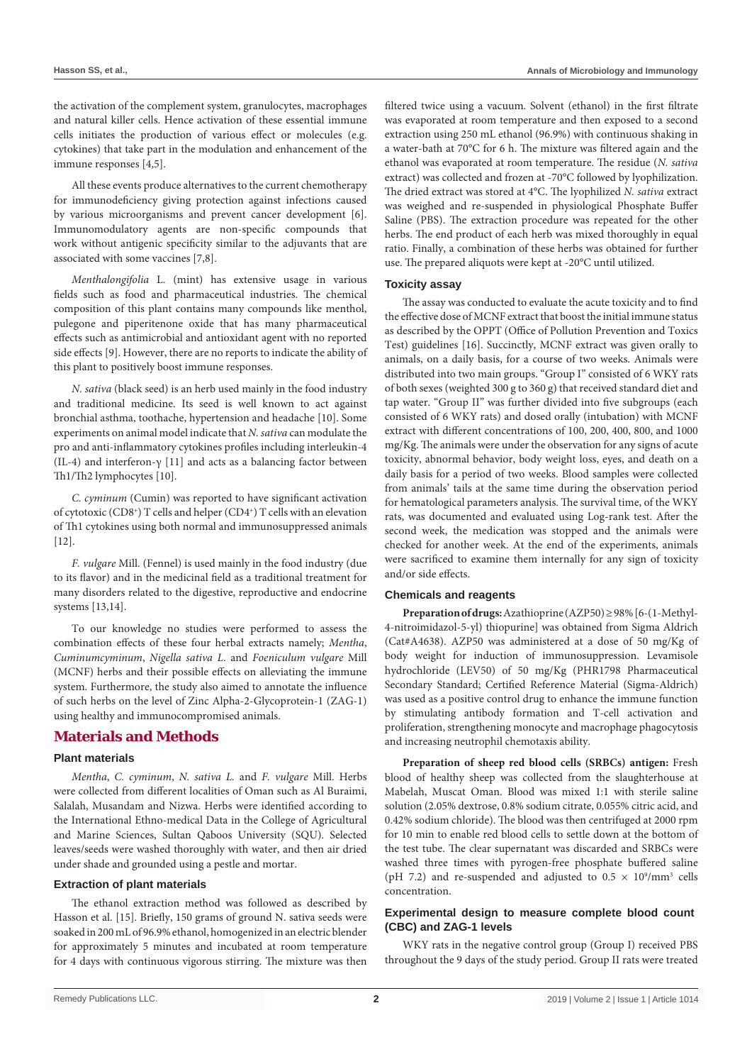the activation of the complement system, granulocytes, macrophages and natural killer cells. Hence activation of these essential immune cells initiates the production of various effect or molecules (e.g. cytokines) that take part in the modulation and enhancement of the immune responses [4,5].

All these events produce alternatives to the current chemotherapy for immunodeficiency giving protection against infections caused by various microorganisms and prevent cancer development [6]. Immunomodulatory agents are non-specific compounds that work without antigenic specificity similar to the adjuvants that are associated with some vaccines [7,8].

*Menthalongifolia* L. (mint) has extensive usage in various fields such as food and pharmaceutical industries. The chemical composition of this plant contains many compounds like menthol, pulegone and piperitenone oxide that has many pharmaceutical effects such as antimicrobial and antioxidant agent with no reported side effects [9]. However, there are no reports to indicate the ability of this plant to positively boost immune responses.

*N. sativa* (black seed) is an herb used mainly in the food industry and traditional medicine. Its seed is well known to act against bronchial asthma, toothache, hypertension and headache [10]. Some experiments on animal model indicate that *N. sativa* can modulate the pro and anti-inflammatory cytokines profiles including interleukin-4 (IL-4) and interferon-γ [11] and acts as a balancing factor between Th1/Th2 lymphocytes [10].

*C. cyminum* (Cumin) was reported to have significant activation of cytotoxic (CD8+) T cells and helper (CD4+) T cells with an elevation of Th1 cytokines using both normal and immunosuppressed animals  $[12]$ .

*F. vulgare* Mill. (Fennel) is used mainly in the food industry (due to its flavor) and in the medicinal field as a traditional treatment for many disorders related to the digestive, reproductive and endocrine systems [13,14].

To our knowledge no studies were performed to assess the combination effects of these four herbal extracts namely; *Mentha*, *Cuminumcyminum*, *Nigella sativa L*. and *Foeniculum vulgare* Mill (MCNF) herbs and their possible effects on alleviating the immune system. Furthermore, the study also aimed to annotate the influence of such herbs on the level of Zinc Alpha-2-Glycoprotein-1 (ZAG-1) using healthy and immunocompromised animals.

## **Materials and Methods**

#### **Plant materials**

*Mentha*, *C. cyminum*, *N. sativa L.* and *F. vulgare* Mill. Herbs were collected from different localities of Oman such as Al Buraimi, Salalah, Musandam and Nizwa. Herbs were identified according to the International Ethno-medical Data in the College of Agricultural and Marine Sciences, Sultan Qaboos University (SQU). Selected leaves/seeds were washed thoroughly with water, and then air dried under shade and grounded using a pestle and mortar.

#### **Extraction of plant materials**

The ethanol extraction method was followed as described by Hasson et al. [15]. Briefly, 150 grams of ground N. sativa seeds were soaked in 200 mL of 96.9% ethanol, homogenized in an electric blender for approximately 5 minutes and incubated at room temperature for 4 days with continuous vigorous stirring. The mixture was then

filtered twice using a vacuum. Solvent (ethanol) in the first filtrate was evaporated at room temperature and then exposed to a second extraction using 250 mL ethanol (96.9%) with continuous shaking in a water-bath at 70°C for 6 h. The mixture was filtered again and the ethanol was evaporated at room temperature. The residue (*N. sativa* extract) was collected and frozen at -70°C followed by lyophilization. The dried extract was stored at 4°C. The lyophilized *N. sativa* extract was weighed and re-suspended in physiological Phosphate Buffer Saline (PBS). The extraction procedure was repeated for the other herbs. The end product of each herb was mixed thoroughly in equal ratio. Finally, a combination of these herbs was obtained for further use. The prepared aliquots were kept at -20°C until utilized.

#### **Toxicity assay**

The assay was conducted to evaluate the acute toxicity and to find the effective dose of MCNF extract that boost the initial immune status as described by the OPPT (Office of Pollution Prevention and Toxics Test) guidelines [16]. Succinctly, MCNF extract was given orally to animals, on a daily basis, for a course of two weeks. Animals were distributed into two main groups. "Group I" consisted of 6 WKY rats of both sexes (weighted 300 g to 360 g) that received standard diet and tap water. "Group II" was further divided into five subgroups (each consisted of 6 WKY rats) and dosed orally (intubation) with MCNF extract with different concentrations of 100, 200, 400, 800, and 1000 mg/Kg. The animals were under the observation for any signs of acute toxicity, abnormal behavior, body weight loss, eyes, and death on a daily basis for a period of two weeks. Blood samples were collected from animals' tails at the same time during the observation period for hematological parameters analysis. The survival time, of the WKY rats, was documented and evaluated using Log-rank test. After the second week, the medication was stopped and the animals were checked for another week. At the end of the experiments, animals were sacrificed to examine them internally for any sign of toxicity and/or side effects.

#### **Chemicals and reagents**

**Preparation of drugs:** Azathioprine (AZP50) ≥ 98% [6-(1-Methyl-4-nitroimidazol-5-yl) thiopurine] was obtained from Sigma Aldrich (Cat#A4638). AZP50 was administered at a dose of 50 mg/Kg of body weight for induction of immunosuppression. Levamisole hydrochloride (LEV50) of 50 mg/Kg (PHR1798 Pharmaceutical Secondary Standard; Certified Reference Material (Sigma-Aldrich) was used as a positive control drug to enhance the immune function by stimulating antibody formation and T-cell activation and proliferation, strengthening monocyte and macrophage phagocytosis and increasing neutrophil chemotaxis ability.

**Preparation of sheep red blood cells (SRBCs) antigen:** Fresh blood of healthy sheep was collected from the slaughterhouse at Mabelah, Muscat Oman. Blood was mixed 1:1 with sterile saline solution (2.05% dextrose, 0.8% sodium citrate, 0.055% citric acid, and 0.42% sodium chloride). The blood was then centrifuged at 2000 rpm for 10 min to enable red blood cells to settle down at the bottom of the test tube. The clear supernatant was discarded and SRBCs were washed three times with pyrogen-free phosphate buffered saline (pH 7.2) and re-suspended and adjusted to  $0.5 \times 10^9/\text{mm}^3$  cells concentration.

## **Experimental design to measure complete blood count (CBC) and ZAG-1 levels**

WKY rats in the negative control group (Group I) received PBS throughout the 9 days of the study period. Group II rats were treated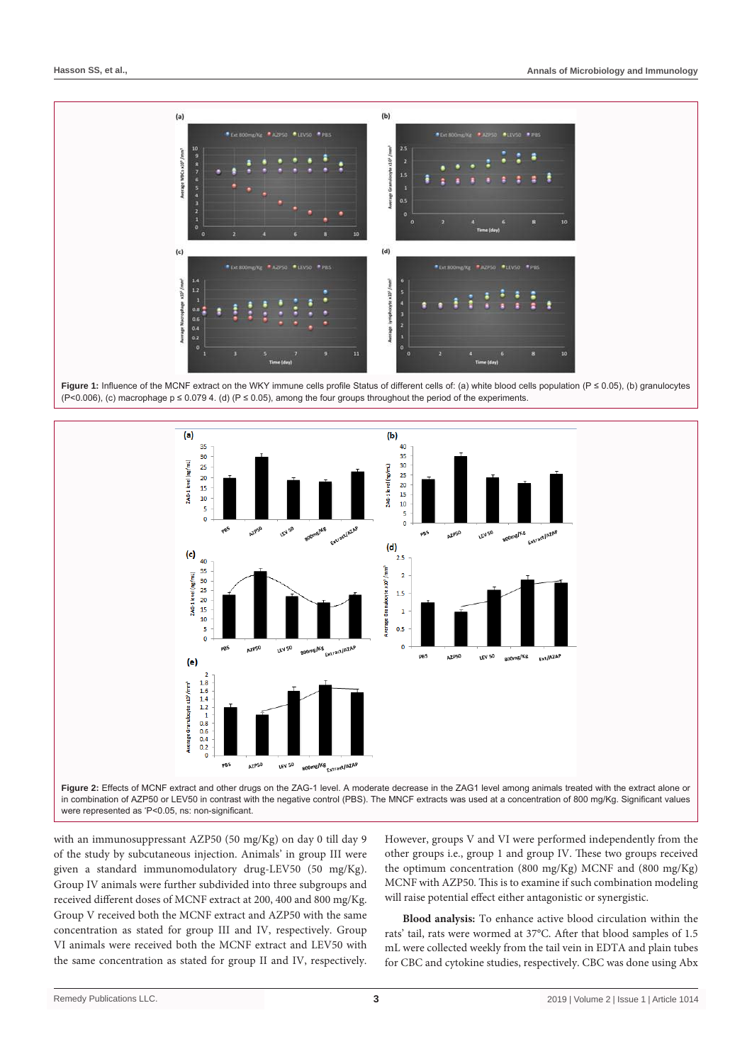

**Figure 1:** Influence of the MCNF extract on the WKY immune cells profile Status of different cells of: (a) white blood cells population (P ≤ 0.05), (b) granulocytes (P<0.006), (c) macrophage  $p \le 0.0794$ . (d) (P  $\le 0.05$ ), among the four groups throughout the period of the experiments.



in combination of AZP50 or LEV50 in contrast with the negative control (PBS). The MNCF extracts was used at a concentration of 800 mg/Kg. Significant values were represented as \* P<0.05, ns: non-significant.

with an immunosuppressant AZP50 (50 mg/Kg) on day 0 till day 9 of the study by subcutaneous injection. Animals' in group III were given a standard immunomodulatory drug-LEV50 (50 mg/Kg). Group IV animals were further subdivided into three subgroups and received different doses of MCNF extract at 200, 400 and 800 mg/Kg. Group V received both the MCNF extract and AZP50 with the same concentration as stated for group III and IV, respectively. Group VI animals were received both the MCNF extract and LEV50 with the same concentration as stated for group II and IV, respectively. However, groups V and VI were performed independently from the other groups i.e., group 1 and group IV. These two groups received the optimum concentration (800 mg/Kg) MCNF and (800 mg/Kg) MCNF with AZP50. This is to examine if such combination modeling will raise potential effect either antagonistic or synergistic.

**Blood analysis:** To enhance active blood circulation within the rats' tail, rats were wormed at 37°C. After that blood samples of 1.5 mL were collected weekly from the tail vein in EDTA and plain tubes for CBC and cytokine studies, respectively. CBC was done using Abx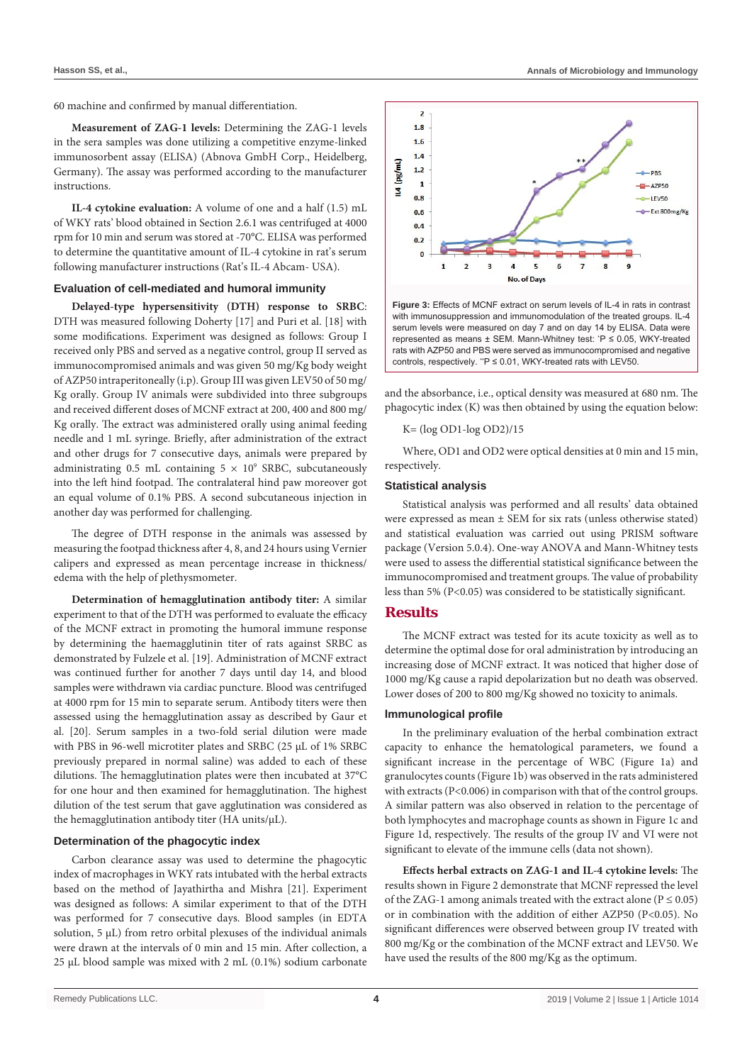60 machine and confirmed by manual differentiation.

**Measurement of ZAG-1 levels:** Determining the ZAG-1 levels in the sera samples was done utilizing a competitive enzyme-linked immunosorbent assay (ELISA) (Abnova GmbH Corp., Heidelberg, Germany). The assay was performed according to the manufacturer instructions.

**IL-4 cytokine evaluation:** A volume of one and a half (1.5) mL of WKY rats' blood obtained in Section 2.6.1 was centrifuged at 4000 rpm for 10 min and serum was stored at -70°C. ELISA was performed to determine the quantitative amount of IL-4 cytokine in rat's serum following manufacturer instructions (Rat's IL-4 Abcam- USA).

#### **Evaluation of cell-mediated and humoral immunity**

**Delayed-type hypersensitivity (DTH) response to SRBC**: DTH was measured following Doherty [17] and Puri et al. [18] with some modifications. Experiment was designed as follows: Group I received only PBS and served as a negative control, group II served as immunocompromised animals and was given 50 mg/Kg body weight of AZP50 intraperitoneally (i.p). Group III was given LEV50 of 50 mg/ Kg orally. Group IV animals were subdivided into three subgroups and received different doses of MCNF extract at 200, 400 and 800 mg/ Kg orally. The extract was administered orally using animal feeding needle and 1 mL syringe. Briefly, after administration of the extract and other drugs for 7 consecutive days, animals were prepared by administrating  $0.5$  mL containing  $5 \times 10^9$  SRBC, subcutaneously into the left hind footpad. The contralateral hind paw moreover got an equal volume of 0.1% PBS. A second subcutaneous injection in another day was performed for challenging.

The degree of DTH response in the animals was assessed by measuring the footpad thickness after 4, 8, and 24 hours using Vernier calipers and expressed as mean percentage increase in thickness/ edema with the help of plethysmometer.

**Determination of hemagglutination antibody titer:** A similar experiment to that of the DTH was performed to evaluate the efficacy of the MCNF extract in promoting the humoral immune response by determining the haemagglutinin titer of rats against SRBC as demonstrated by Fulzele et al. [19]. Administration of MCNF extract was continued further for another 7 days until day 14, and blood samples were withdrawn via cardiac puncture. Blood was centrifuged at 4000 rpm for 15 min to separate serum. Antibody titers were then assessed using the hemagglutination assay as described by Gaur et al. [20]. Serum samples in a two-fold serial dilution were made with PBS in 96-well microtiter plates and SRBC (25 μL of 1% SRBC previously prepared in normal saline) was added to each of these dilutions. The hemagglutination plates were then incubated at 37°C for one hour and then examined for hemagglutination. The highest dilution of the test serum that gave agglutination was considered as the hemagglutination antibody titer (HA units/μL).

#### **Determination of the phagocytic index**

Carbon clearance assay was used to determine the phagocytic index of macrophages in WKY rats intubated with the herbal extracts based on the method of Jayathirtha and Mishra [21]. Experiment was designed as follows: A similar experiment to that of the DTH was performed for 7 consecutive days. Blood samples (in EDTA solution, 5 μL) from retro orbital plexuses of the individual animals were drawn at the intervals of 0 min and 15 min. After collection, a 25 μL blood sample was mixed with 2 mL (0.1%) sodium carbonate



with immunosuppression and immunomodulation of the treated groups. IL-4 serum levels were measured on day 7 and on day 14 by ELISA. Data were represented as means  $\pm$  SEM. Mann-Whitney test:  $P \le 0.05$ , WKY-treated rats with AZP50 and PBS were served as immunocompromised and negative controls, respectively. "P  $\leq$  0.01, WKY-treated rats with LEV50.

and the absorbance, i.e., optical density was measured at 680 nm. The phagocytic index (K) was then obtained by using the equation below:

K= (log OD1-log OD2)/15

Where, OD1 and OD2 were optical densities at 0 min and 15 min, respectively.

#### **Statistical analysis**

Statistical analysis was performed and all results' data obtained were expressed as mean ± SEM for six rats (unless otherwise stated) and statistical evaluation was carried out using PRISM software package (Version 5.0.4). One-way ANOVA and Mann-Whitney tests were used to assess the differential statistical significance between the immunocompromised and treatment groups. The value of probability less than 5% (P<0.05) was considered to be statistically significant.

## **Results**

The MCNF extract was tested for its acute toxicity as well as to determine the optimal dose for oral administration by introducing an increasing dose of MCNF extract. It was noticed that higher dose of 1000 mg/Kg cause a rapid depolarization but no death was observed. Lower doses of 200 to 800 mg/Kg showed no toxicity to animals.

#### **Immunological profile**

In the preliminary evaluation of the herbal combination extract capacity to enhance the hematological parameters, we found a significant increase in the percentage of WBC (Figure 1a) and granulocytes counts (Figure 1b) was observed in the rats administered with extracts (P<0.006) in comparison with that of the control groups. A similar pattern was also observed in relation to the percentage of both lymphocytes and macrophage counts as shown in Figure 1c and Figure 1d, respectively. The results of the group IV and VI were not significant to elevate of the immune cells (data not shown).

**Effects herbal extracts on ZAG-1 and IL-4 cytokine levels:** The results shown in Figure 2 demonstrate that MCNF repressed the level of the ZAG-1 among animals treated with the extract alone ( $P \le 0.05$ ) or in combination with the addition of either AZP50 (P<0.05). No significant differences were observed between group IV treated with 800 mg/Kg or the combination of the MCNF extract and LEV50. We have used the results of the 800 mg/Kg as the optimum.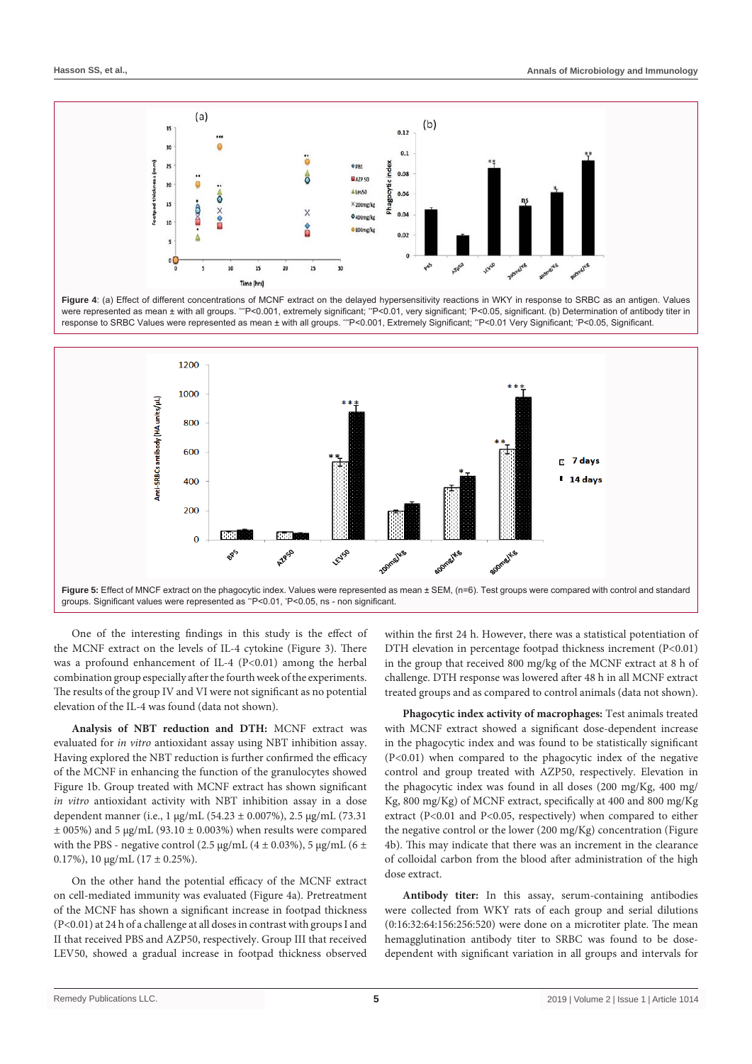





One of the interesting findings in this study is the effect of the MCNF extract on the levels of IL-4 cytokine (Figure 3). There was a profound enhancement of IL-4 (P<0.01) among the herbal combination group especially after the fourth week of the experiments. The results of the group IV and VI were not significant as no potential elevation of the IL-4 was found (data not shown).

**Analysis of NBT reduction and DTH:** MCNF extract was evaluated for *in vitro* antioxidant assay using NBT inhibition assay. Having explored the NBT reduction is further confirmed the efficacy of the MCNF in enhancing the function of the granulocytes showed Figure 1b. Group treated with MCNF extract has shown significant *in vitro* antioxidant activity with NBT inhibition assay in a dose dependent manner (i.e., 1 μg/mL (54.23 ± 0.007%), 2.5 μg/mL (73.31  $\pm$  005%) and 5 μg/mL (93.10  $\pm$  0.003%) when results were compared with the PBS - negative control (2.5  $\mu$ g/mL (4 ± 0.03%), 5  $\mu$ g/mL (6 ± 0.17%), 10  $\mu$ g/mL (17 ± 0.25%).

On the other hand the potential efficacy of the MCNF extract on cell-mediated immunity was evaluated (Figure 4a). Pretreatment of the MCNF has shown a significant increase in footpad thickness (P<0.01) at 24 h of a challenge at all doses in contrast with groups I and II that received PBS and AZP50, respectively. Group III that received LEV50, showed a gradual increase in footpad thickness observed within the first 24 h. However, there was a statistical potentiation of DTH elevation in percentage footpad thickness increment (P<0.01) in the group that received 800 mg/kg of the MCNF extract at 8 h of challenge. DTH response was lowered after 48 h in all MCNF extract treated groups and as compared to control animals (data not shown).

**Phagocytic index activity of macrophages:** Test animals treated with MCNF extract showed a significant dose-dependent increase in the phagocytic index and was found to be statistically significant (P<0.01) when compared to the phagocytic index of the negative control and group treated with AZP50, respectively. Elevation in the phagocytic index was found in all doses (200 mg/Kg, 400 mg/ Kg, 800 mg/Kg) of MCNF extract, specifically at 400 and 800 mg/Kg extract (P<0.01 and P<0.05, respectively) when compared to either the negative control or the lower (200 mg/Kg) concentration (Figure 4b). This may indicate that there was an increment in the clearance of colloidal carbon from the blood after administration of the high dose extract.

**Antibody titer:** In this assay, serum-containing antibodies were collected from WKY rats of each group and serial dilutions (0:16:32:64:156:256:520) were done on a microtiter plate. The mean hemagglutination antibody titer to SRBC was found to be dosedependent with significant variation in all groups and intervals for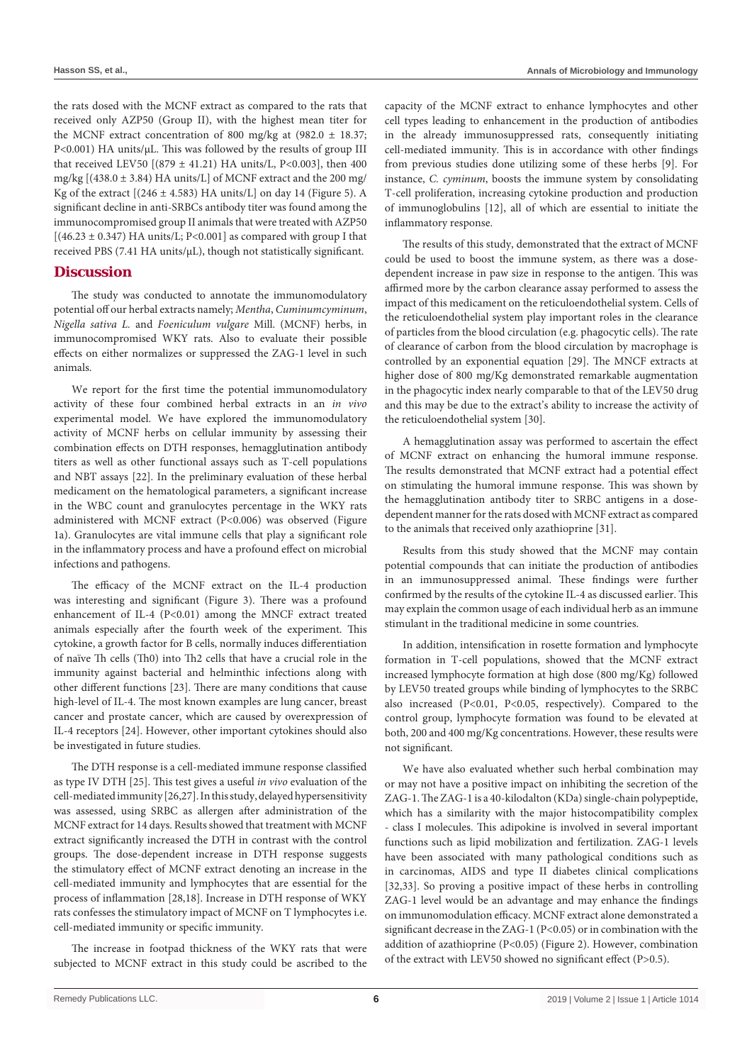the rats dosed with the MCNF extract as compared to the rats that received only AZP50 (Group II), with the highest mean titer for the MCNF extract concentration of 800 mg/kg at  $(982.0 \pm 18.37)$ ; P<0.001) HA units/μL. This was followed by the results of group III that received LEV50  $[(879 \pm 41.21)$  HA units/L, P<0.003], then 400 mg/kg [(438.0 ± 3.84) HA units/L] of MCNF extract and the 200 mg/ Kg of the extract  $[(246 \pm 4.583)$  HA units/L] on day 14 (Figure 5). A significant decline in anti-SRBCs antibody titer was found among the immunocompromised group II animals that were treated with AZP50  $[(46.23 \pm 0.347)$  HA units/L; P<0.001] as compared with group I that received PBS (7.41 HA units/μL), though not statistically significant.

## **Discussion**

The study was conducted to annotate the immunomodulatory potential off our herbal extracts namely; *Mentha*, *Cuminumcyminum*, *Nigella sativa L.* and *Foeniculum vulgare* Mill. (MCNF) herbs, in immunocompromised WKY rats. Also to evaluate their possible effects on either normalizes or suppressed the ZAG-1 level in such animals.

We report for the first time the potential immunomodulatory activity of these four combined herbal extracts in an *in vivo* experimental model. We have explored the immunomodulatory activity of MCNF herbs on cellular immunity by assessing their combination effects on DTH responses, hemagglutination antibody titers as well as other functional assays such as T-cell populations and NBT assays [22]. In the preliminary evaluation of these herbal medicament on the hematological parameters, a significant increase in the WBC count and granulocytes percentage in the WKY rats administered with MCNF extract (P<0.006) was observed (Figure 1a). Granulocytes are vital immune cells that play a significant role in the inflammatory process and have a profound effect on microbial infections and pathogens.

The efficacy of the MCNF extract on the IL-4 production was interesting and significant (Figure 3). There was a profound enhancement of IL-4 (P<0.01) among the MNCF extract treated animals especially after the fourth week of the experiment. This cytokine, a growth factor for B cells, normally induces differentiation of naïve Th cells (Th0) into Th2 cells that have a crucial role in the immunity against bacterial and helminthic infections along with other different functions [23]. There are many conditions that cause high-level of IL-4. The most known examples are lung cancer, breast cancer and prostate cancer, which are caused by overexpression of IL-4 receptors [24]. However, other important cytokines should also be investigated in future studies.

The DTH response is a cell-mediated immune response classified as type IV DTH [25]. This test gives a useful *in vivo* evaluation of the cell-mediated immunity [26,27]. In this study, delayed hypersensitivity was assessed, using SRBC as allergen after administration of the MCNF extract for 14 days. Results showed that treatment with MCNF extract significantly increased the DTH in contrast with the control groups. The dose-dependent increase in DTH response suggests the stimulatory effect of MCNF extract denoting an increase in the cell-mediated immunity and lymphocytes that are essential for the process of inflammation [28,18]. Increase in DTH response of WKY rats confesses the stimulatory impact of MCNF on T lymphocytes i.e. cell-mediated immunity or specific immunity.

The increase in footpad thickness of the WKY rats that were subjected to MCNF extract in this study could be ascribed to the capacity of the MCNF extract to enhance lymphocytes and other cell types leading to enhancement in the production of antibodies in the already immunosuppressed rats, consequently initiating cell-mediated immunity. This is in accordance with other findings from previous studies done utilizing some of these herbs [9]. For instance, *C. cyminum*, boosts the immune system by consolidating T-cell proliferation, increasing cytokine production and production of immunoglobulins [12], all of which are essential to initiate the inflammatory response.

The results of this study, demonstrated that the extract of MCNF could be used to boost the immune system, as there was a dosedependent increase in paw size in response to the antigen. This was affirmed more by the carbon clearance assay performed to assess the impact of this medicament on the reticuloendothelial system. Cells of the reticuloendothelial system play important roles in the clearance of particles from the blood circulation (e.g. phagocytic cells). The rate of clearance of carbon from the blood circulation by macrophage is controlled by an exponential equation [29]. The MNCF extracts at higher dose of 800 mg/Kg demonstrated remarkable augmentation in the phagocytic index nearly comparable to that of the LEV50 drug and this may be due to the extract's ability to increase the activity of the reticuloendothelial system [30].

A hemagglutination assay was performed to ascertain the effect of MCNF extract on enhancing the humoral immune response. The results demonstrated that MCNF extract had a potential effect on stimulating the humoral immune response. This was shown by the hemagglutination antibody titer to SRBC antigens in a dosedependent manner for the rats dosed with MCNF extract as compared to the animals that received only azathioprine [31].

Results from this study showed that the MCNF may contain potential compounds that can initiate the production of antibodies in an immunosuppressed animal. These findings were further confirmed by the results of the cytokine IL-4 as discussed earlier. This may explain the common usage of each individual herb as an immune stimulant in the traditional medicine in some countries.

In addition, intensification in rosette formation and lymphocyte formation in T-cell populations, showed that the MCNF extract increased lymphocyte formation at high dose (800 mg/Kg) followed by LEV50 treated groups while binding of lymphocytes to the SRBC also increased (P<0.01, P<0.05, respectively). Compared to the control group, lymphocyte formation was found to be elevated at both, 200 and 400 mg/Kg concentrations. However, these results were not significant.

We have also evaluated whether such herbal combination may or may not have a positive impact on inhibiting the secretion of the ZAG-1. The ZAG-1 is a 40-kilodalton (KDa) single-chain polypeptide, which has a similarity with the major histocompatibility complex - class I molecules. This adipokine is involved in several important functions such as lipid mobilization and fertilization. ZAG-1 levels have been associated with many pathological conditions such as in carcinomas, AIDS and type II diabetes clinical complications [32,33]. So proving a positive impact of these herbs in controlling ZAG-1 level would be an advantage and may enhance the findings on immunomodulation efficacy. MCNF extract alone demonstrated a significant decrease in the ZAG-1 (P<0.05) or in combination with the addition of azathioprine (P<0.05) (Figure 2). However, combination of the extract with LEV50 showed no significant effect (P>0.5).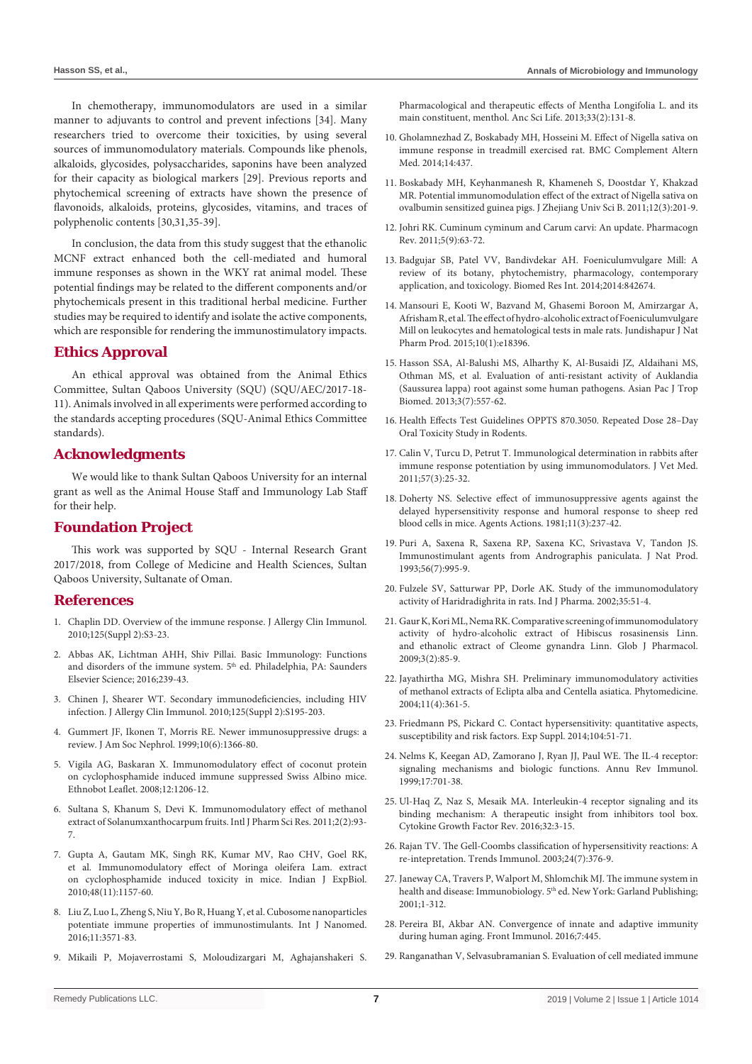In chemotherapy, immunomodulators are used in a similar manner to adjuvants to control and prevent infections [34]. Many researchers tried to overcome their toxicities, by using several sources of immunomodulatory materials. Compounds like phenols, alkaloids, glycosides, polysaccharides, saponins have been analyzed for their capacity as biological markers [29]. Previous reports and phytochemical screening of extracts have shown the presence of flavonoids, alkaloids, proteins, glycosides, vitamins, and traces of polyphenolic contents [30,31,35-39].

In conclusion, the data from this study suggest that the ethanolic MCNF extract enhanced both the cell-mediated and humoral immune responses as shown in the WKY rat animal model. These potential findings may be related to the different components and/or phytochemicals present in this traditional herbal medicine. Further studies may be required to identify and isolate the active components, which are responsible for rendering the immunostimulatory impacts.

# **Ethics Approval**

An ethical approval was obtained from the Animal Ethics Committee, Sultan Qaboos University (SQU) (SQU/AEC/2017-18- 11). Animals involved in all experiments were performed according to the standards accepting procedures (SQU-Animal Ethics Committee standards).

# **Acknowledgments**

We would like to thank Sultan Qaboos University for an internal grant as well as the Animal House Staff and Immunology Lab Staff for their help.

## **Foundation Project**

This work was supported by SQU - Internal Research Grant 2017/2018, from College of Medicine and Health Sciences, Sultan Qaboos University, Sultanate of Oman.

## **References**

- 1. [Chaplin DD. Overview of the immune response. J Allergy Clin Immunol.](http://www.ncbi.nlm.nih.gov/pubmed/20176265)  [2010;125\(Suppl 2\):S3-23.](http://www.ncbi.nlm.nih.gov/pubmed/20176265)
- 2. Abbas AK, Lichtman AHH, Shiv Pillai. Basic Immunology: Functions and disorders of the immune system. 5<sup>th</sup> ed. Philadelphia, PA: Saunders Elsevier Science; 2016;239-43.
- 3. [Chinen J, Shearer WT. Secondary immunodeficiencies, including HIV](http://www.ncbi.nlm.nih.gov/pubmed/20042227)  [infection. J Allergy Clin Immunol. 2010;125\(Suppl 2\):S195-203.](http://www.ncbi.nlm.nih.gov/pubmed/20042227)
- 4. [Gummert JF, Ikonen T, Morris RE. Newer immunosuppressive drugs: a](http://www.ncbi.nlm.nih.gov/pubmed/10361877)  [review. J Am Soc Nephrol. 1999;10\(6\):1366-80.](http://www.ncbi.nlm.nih.gov/pubmed/10361877)
- 5. [Vigila AG, Baskaran X. Immunomodulatory effect of coconut protein](https://pdfs.semanticscholar.org/8a84/502ccb3bc73eeaea11bc58baeb5676ed1b09.pdf)  [on cyclophosphamide induced immune suppressed Swiss Albino mice.](https://pdfs.semanticscholar.org/8a84/502ccb3bc73eeaea11bc58baeb5676ed1b09.pdf)  [Ethnobot Leaflet. 2008;12:1206-12.](https://pdfs.semanticscholar.org/8a84/502ccb3bc73eeaea11bc58baeb5676ed1b09.pdf)
- 6. [Sultana S, Khanum S, Devi K. Immunomodulatory effect of methanol](http://www.ijpsr.info/docs/IJPSR11-02-02-17.pdf)  [extract of Solanumxanthocarpum fruits. Intl J Pharm Sci Res. 2011;2\(2\):93-](http://www.ijpsr.info/docs/IJPSR11-02-02-17.pdf) [7.](http://www.ijpsr.info/docs/IJPSR11-02-02-17.pdf)
- 7. [Gupta A, Gautam MK, Singh RK, Kumar MV, Rao CHV, Goel RK,](https://www.ncbi.nlm.nih.gov/pubmed/21117458)  [et al. Immunomodulatory effect of Moringa oleifera Lam. extract](https://www.ncbi.nlm.nih.gov/pubmed/21117458)  [on cyclophosphamide induced toxicity in mice. Indian J ExpBiol.](https://www.ncbi.nlm.nih.gov/pubmed/21117458)  [2010;48\(11\):1157-60.](https://www.ncbi.nlm.nih.gov/pubmed/21117458)
- 8. [Liu Z, Luo L, Zheng S, Niu Y, Bo R, Huang Y, et al. Cubosome nanoparticles](https://www.ncbi.nlm.nih.gov/pubmed/27536099)  [potentiate immune properties of immunostimulants. Int J Nanomed.](https://www.ncbi.nlm.nih.gov/pubmed/27536099)  [2016;11:3571-83.](https://www.ncbi.nlm.nih.gov/pubmed/27536099)
- 9. [Mikaili P, Mojaverrostami S, Moloudizargari M, Aghajanshakeri S.](http://www.ncbi.nlm.nih.gov/pubmed/25284948)

[Pharmacological and therapeutic effects of Mentha Longifolia L. and its](http://www.ncbi.nlm.nih.gov/pubmed/25284948)  [main constituent, menthol. Anc Sci Life. 2013;33\(2\):131-8.](http://www.ncbi.nlm.nih.gov/pubmed/25284948)

- 10. [Gholamnezhad Z, Boskabady MH, Hosseini M. Effect of Nigella sativa on](https://www.ncbi.nlm.nih.gov/pubmed/25380621)  [immune response in treadmill exercised rat. BMC Complement Altern](https://www.ncbi.nlm.nih.gov/pubmed/25380621)  [Med. 2014;14:437.](https://www.ncbi.nlm.nih.gov/pubmed/25380621)
- 11. [Boskabady MH, Keyhanmanesh R, Khameneh S, Doostdar Y, Khakzad](https://www.ncbi.nlm.nih.gov/pubmed/21370505)  [MR. Potential immunomodulation effect of the extract of Nigella sativa on](https://www.ncbi.nlm.nih.gov/pubmed/21370505)  [ovalbumin sensitized guinea pigs. J Zhejiang Univ Sci B. 2011;12\(3\):201-9.](https://www.ncbi.nlm.nih.gov/pubmed/21370505)
- 12. [Johri RK. Cuminum cyminum and Carum carvi: An update. Pharmacogn](http://www.ncbi.nlm.nih.gov/pubmed/22096320)  [Rev. 2011;5\(9\):63-72.](http://www.ncbi.nlm.nih.gov/pubmed/22096320)
- 13. [Badgujar SB, Patel VV, Bandivdekar AH. Foeniculumvulgare Mill: A](https://www.ncbi.nlm.nih.gov/pubmed/25162032)  [review of its botany, phytochemistry, pharmacology, contemporary](https://www.ncbi.nlm.nih.gov/pubmed/25162032)  [application, and toxicology. Biomed Res Int. 2014;2014:842674.](https://www.ncbi.nlm.nih.gov/pubmed/25162032)
- 14. [Mansouri E, Kooti W, Bazvand M, Ghasemi Boroon M, Amirzargar A,](https://www.ncbi.nlm.nih.gov/pubmed/25866717)  [Afrisham R, et al. The effect of hydro-alcoholic extract of Foeniculumvulgare](https://www.ncbi.nlm.nih.gov/pubmed/25866717)  [Mill on leukocytes and hematological tests in male rats. Jundishapur J Nat](https://www.ncbi.nlm.nih.gov/pubmed/25866717)  [Pharm Prod. 2015;10\(1\):e18396.](https://www.ncbi.nlm.nih.gov/pubmed/25866717)
- 15. [Hasson SSA, Al-Balushi MS, Alharthy K, Al-Busaidi JZ, Aldaihani MS,](https://www.ncbi.nlm.nih.gov/pubmed/23836413)  [Othman MS, et al. Evaluation of anti-resistant activity of Auklandia](https://www.ncbi.nlm.nih.gov/pubmed/23836413)  [\(Saussurea lappa\) root against some human pathogens. Asian Pac J Trop](https://www.ncbi.nlm.nih.gov/pubmed/23836413)  [Biomed. 2013;3\(7\):557-62.](https://www.ncbi.nlm.nih.gov/pubmed/23836413)
- 16. [Health Effects Test Guidelines OPPTS 870.3050. Repeated Dose 28–Day](https://ntp.niehs.nih.gov/iccvam/suppdocs/feddocs/epa/epa_870_3050.pdf)  [Oral Toxicity Study in Rodents.](https://ntp.niehs.nih.gov/iccvam/suppdocs/feddocs/epa/epa_870_3050.pdf)
- 17. [Calin V, Turcu D, Petrut T. Immunological determination in rabbits after](https://www.cabdirect.org/cabdirect/abstract/20123387484)  [immune response potentiation by using immunomodulators. J Vet Med.](https://www.cabdirect.org/cabdirect/abstract/20123387484)  [2011;57\(3\):25-32.](https://www.cabdirect.org/cabdirect/abstract/20123387484)
- 18. [Doherty NS. Selective effect of immunosuppressive agents against the](https://www.ncbi.nlm.nih.gov/pubmed/7257950)  [delayed hypersensitivity response and humoral response to sheep red](https://www.ncbi.nlm.nih.gov/pubmed/7257950)  [blood cells in mice. Agents Actions. 1981;11\(3\):237-42.](https://www.ncbi.nlm.nih.gov/pubmed/7257950)
- 19. [Puri A, Saxena R, Saxena RP, Saxena KC, Srivastava V, Tandon JS.](http://www.ncbi.nlm.nih.gov/pubmed/8377022)  [Immunostimulant agents from Andrographis paniculata. J Nat Prod.](http://www.ncbi.nlm.nih.gov/pubmed/8377022)  [1993;56\(7\):995-9.](http://www.ncbi.nlm.nih.gov/pubmed/8377022)
- 20. [Fulzele SV, Satturwar PP, Dorle AK. Study of the immunomodulatory](http://medind.nic.in/ibi/t03/i1/ibit03i1p51.pdf)  [activity of Haridradighrita in rats. Ind J Pharma. 2002;35:51-4.](http://medind.nic.in/ibi/t03/i1/ibit03i1p51.pdf)
- 21. [Gaur K, Kori ML, Nema RK. Comparative screening of immunomodulatory](https://www.idosi.org/gjp/3(2)09/6.pdf)  [activity of hydro-alcoholic extract of Hibiscus rosasinensis Linn.](https://www.idosi.org/gjp/3(2)09/6.pdf)  [and ethanolic extract of Cleome gynandra Linn. Glob J Pharmacol.](https://www.idosi.org/gjp/3(2)09/6.pdf)  [2009;3\(2\):85-9.](https://www.idosi.org/gjp/3(2)09/6.pdf)
- 22. [Jayathirtha MG, Mishra SH. Preliminary immunomodulatory activities](http://www.ncbi.nlm.nih.gov/pubmed/15185851)  [of methanol extracts of Eclipta alba and Centella asiatica. Phytomedicine.](http://www.ncbi.nlm.nih.gov/pubmed/15185851)   $2004:11(4):361-5$ .
- 23. [Friedmann PS, Pickard C. Contact hypersensitivity: quantitative aspects,](http://www.ncbi.nlm.nih.gov/pubmed/24214618)  [susceptibility and risk factors. Exp Suppl. 2014;104:51-71.](http://www.ncbi.nlm.nih.gov/pubmed/24214618)
- 24. [Nelms K, Keegan AD, Zamorano J, Ryan JJ, Paul WE. The IL-4 receptor:](http://www.ncbi.nlm.nih.gov/pubmed/10358772)  [signaling mechanisms and biologic functions. Annu Rev Immunol.](http://www.ncbi.nlm.nih.gov/pubmed/10358772)  [1999;17:701-38.](http://www.ncbi.nlm.nih.gov/pubmed/10358772)
- 25. [Ul-Haq Z, Naz S, Mesaik MA. Interleukin-4 receptor signaling and its](https://www.ncbi.nlm.nih.gov/pubmed/27165851)  [binding mechanism: A therapeutic insight from inhibitors tool box.](https://www.ncbi.nlm.nih.gov/pubmed/27165851)  [Cytokine Growth Factor Rev. 2016;32:3-15.](https://www.ncbi.nlm.nih.gov/pubmed/27165851)
- 26. [Rajan TV. The Gell-Coombs classification of hypersensitivity reactions: A](http://allergo.lyon.inserm.fr/IMMUNOLOGIE/0.4.re-interpretation.pdf)  [re-intepretation. Trends Immunol. 2003;24\(7\):376-9.](http://allergo.lyon.inserm.fr/IMMUNOLOGIE/0.4.re-interpretation.pdf)
- 27. [Janeway CA, Travers P, Walport M, Shlomchik MJ. The immune system in](https://www.ncbi.nlm.nih.gov/books/NBK10775/)  health and disease: Immunobiology. 5<sup>th</sup> ed. New York: Garland Publishing; [2001;1-312.](https://www.ncbi.nlm.nih.gov/books/NBK10775/)
- 28. [Pereira BI, Akbar AN. Convergence of innate and adaptive immunity](https://www.ncbi.nlm.nih.gov/pubmed/27867379)  [during human aging. Front Immunol. 2016;7:445.](https://www.ncbi.nlm.nih.gov/pubmed/27867379)
- 29. [Ranganathan V, Selvasubramanian S. Evaluation of cell mediated immune](https://arccjournals.com/journal/indian-journal-of-animal-research/B-2599)